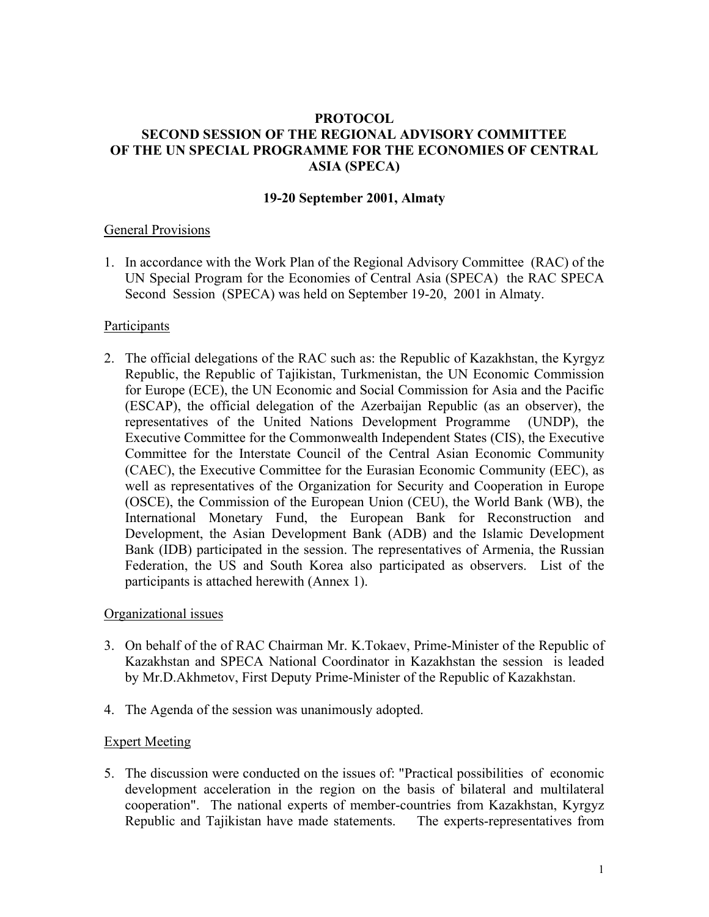#### **PROTOCOL SECOND SESSION OF THE REGIONAL ADVISORY COMMITTEE OF THE UN SPECIAL PROGRAMME FOR THE ECONOMIES OF CENTRAL ASIA (SPECA)**

#### **19-20 September 2001, Almaty**

#### General Provisions

1. In accordance with the Work Plan of the Regional Advisory Committee (RAC) of the UN Special Program for the Economies of Central Asia (SPECA) the RAC SPECA Second Session (SPECA) was held on September 19-20, 2001 in Almaty.

#### **Participants**

2. The official delegations of the RAC such as: the Republic of Kazakhstan, the Kyrgyz Republic, the Republic of Tajikistan, Turkmenistan, the UN Economic Commission for Europe (ECE), the UN Economic and Social Commission for Asia and the Pacific (ESCAP), the official delegation of the Azerbaijan Republic (as an observer), the representatives of the United Nations Development Programme (UNDP), the Executive Committee for the Commonwealth Independent States (CIS), the Executive Committee for the Interstate Council of the Central Asian Economic Community (CAEC), the Executive Committee for the Eurasian Economic Community (EEC), as well as representatives of the Organization for Security and Cooperation in Europe (OSCE), the Commission of the European Union (CEU), the World Bank (WB), the International Monetary Fund, the European Bank for Reconstruction and Development, the Asian Development Bank (ADB) and the Islamic Development Bank (IDB) participated in the session. The representatives of Armenia, the Russian Federation, the US and South Korea also participated as observers. List of the participants is attached herewith (Annex 1).

#### Organizational issues

- 3. On behalf of the of RAC Chairman Mr. K.Tokaev, Prime-Minister of the Republic of Kazakhstan and SPECA National Coordinator in Kazakhstan the session is leaded by Mr.D.Akhmetov, First Deputy Prime-Minister of the Republic of Kazakhstan.
- 4. The Agenda of the session was unanimously adopted.

#### Expert Meeting

5. The discussion were conducted on the issues of: "Practical possibilities of economic development acceleration in the region on the basis of bilateral and multilateral cooperation". The national experts of member-countries from Kazakhstan, Kyrgyz Republic and Tajikistan have made statements. The experts-representatives from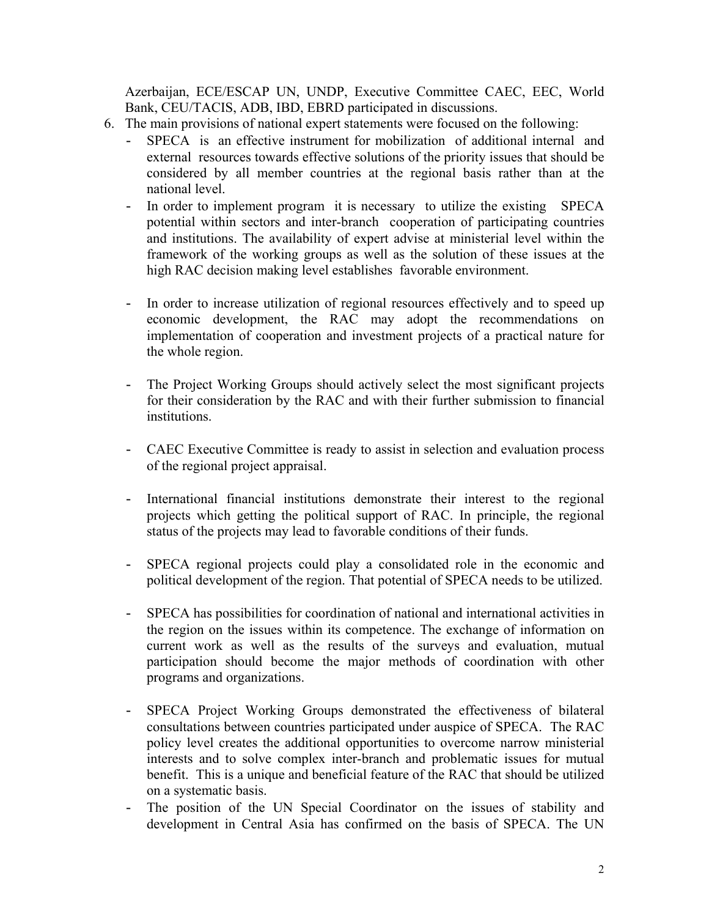Azerbaijan, ECE/ESCAP UN, UNDP, Executive Committee CAEC, EEC, World Bank, CEU/TACIS, ADB, IBD, EBRD participated in discussions.

- 6. The main provisions of national expert statements were focused on the following:
	- SPECA is an effective instrument for mobilization of additional internal and external resources towards effective solutions of the priority issues that should be considered by all member countries at the regional basis rather than at the national level.
	- In order to implement program it is necessary to utilize the existing SPECA potential within sectors and inter-branch cooperation of participating countries and institutions. The availability of expert advise at ministerial level within the framework of the working groups as well as the solution of these issues at the high RAC decision making level establishes favorable environment.
	- In order to increase utilization of regional resources effectively and to speed up economic development, the RAC may adopt the recommendations on implementation of cooperation and investment projects of a practical nature for the whole region.
	- The Project Working Groups should actively select the most significant projects for their consideration by the RAC and with their further submission to financial institutions.
	- CAEC Executive Committee is ready to assist in selection and evaluation process of the regional project appraisal.
	- International financial institutions demonstrate their interest to the regional projects which getting the political support of RAC. In principle, the regional status of the projects may lead to favorable conditions of their funds.
	- SPECA regional projects could play a consolidated role in the economic and political development of the region. That potential of SPECA needs to be utilized.
	- SPECA has possibilities for coordination of national and international activities in the region on the issues within its competence. The exchange of information on current work as well as the results of the surveys and evaluation, mutual participation should become the major methods of coordination with other programs and organizations.
	- SPECA Project Working Groups demonstrated the effectiveness of bilateral consultations between countries participated under auspice of SPECA. The RAC policy level creates the additional opportunities to overcome narrow ministerial interests and to solve complex inter-branch and problematic issues for mutual benefit. This is a unique and beneficial feature of the RAC that should be utilized on a systematic basis.
	- The position of the UN Special Coordinator on the issues of stability and development in Central Asia has confirmed on the basis of SPECA. The UN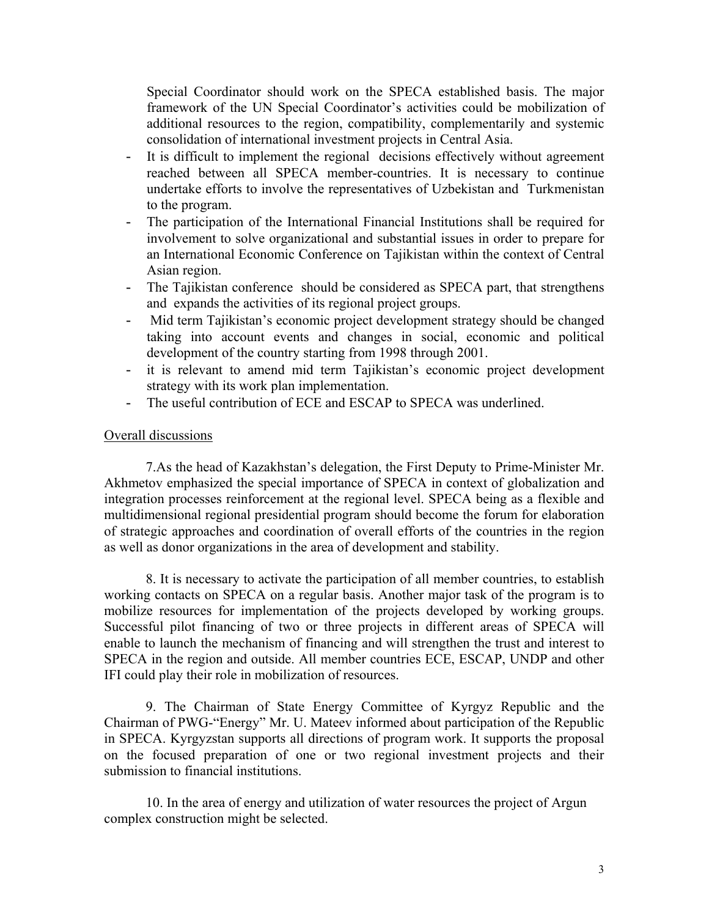Special Coordinator should work on the SPECA established basis. The major framework of the UN Special Coordinator's activities could be mobilization of additional resources to the region, compatibility, complementarily and systemic consolidation of international investment projects in Central Asia.

- It is difficult to implement the regional decisions effectively without agreement reached between all SPECA member-countries. It is necessary to continue undertake efforts to involve the representatives of Uzbekistan and Turkmenistan to the program.
- The participation of the International Financial Institutions shall be required for involvement to solve organizational and substantial issues in order to prepare for an International Economic Conference on Tajikistan within the context of Central Asian region.
- The Tajikistan conference should be considered as SPECA part, that strengthens and expands the activities of its regional project groups.
- Mid term Tajikistan's economic project development strategy should be changed taking into account events and changes in social, economic and political development of the country starting from 1998 through 2001.
- it is relevant to amend mid term Tajikistan's economic project development strategy with its work plan implementation.
- The useful contribution of ECE and ESCAP to SPECA was underlined.

#### Overall discussions

7.As the head of Kazakhstan's delegation, the First Deputy to Prime-Minister Mr. Akhmetov emphasized the special importance of SPECA in context of globalization and integration processes reinforcement at the regional level. SPECA being as a flexible and multidimensional regional presidential program should become the forum for elaboration of strategic approaches and coordination of overall efforts of the countries in the region as well as donor organizations in the area of development and stability.

8. It is necessary to activate the participation of all member countries, to establish working contacts on SPECA on a regular basis. Another major task of the program is to mobilize resources for implementation of the projects developed by working groups. Successful pilot financing of two or three projects in different areas of SPECA will enable to launch the mechanism of financing and will strengthen the trust and interest to SPECA in the region and outside. All member countries ECE, ESCAP, UNDP and other IFI could play their role in mobilization of resources.

9. The Chairman of State Energy Committee of Kyrgyz Republic and the Chairman of PWG-"Energy" Mr. U. Mateev informed about participation of the Republic in SPECA. Kyrgyzstan supports all directions of program work. It supports the proposal on the focused preparation of one or two regional investment projects and their submission to financial institutions.

 10. In the area of energy and utilization of water resources the project of Argun complex construction might be selected.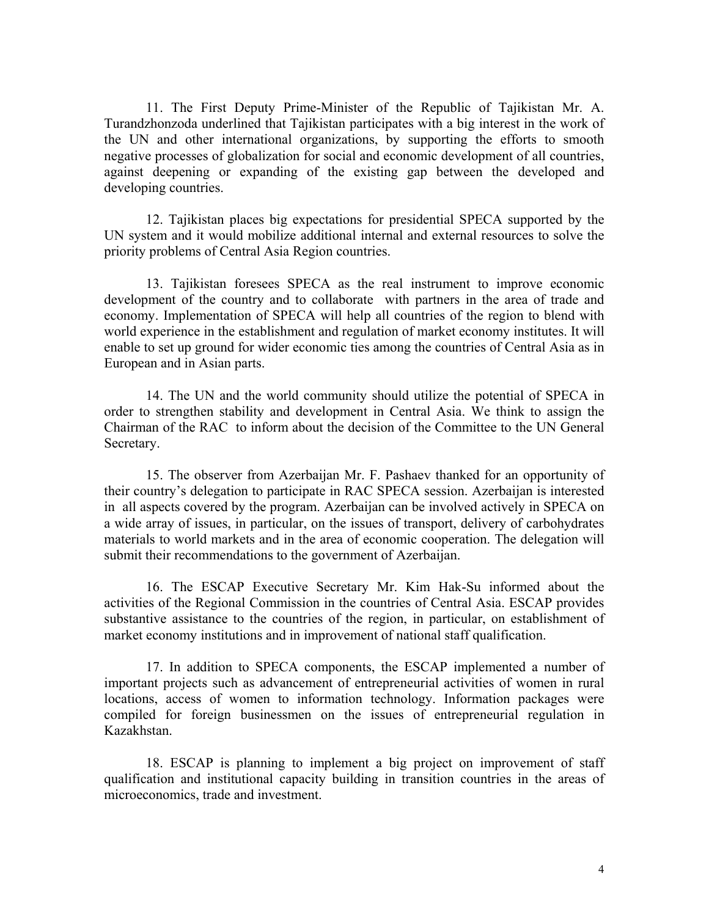11. The First Deputy Prime-Minister of the Republic of Tajikistan Mr. A. Turandzhonzoda underlined that Tajikistan participates with a big interest in the work of the UN and other international organizations, by supporting the efforts to smooth negative processes of globalization for social and economic development of all countries, against deepening or expanding of the existing gap between the developed and developing countries.

 12. Tajikistan places big expectations for presidential SPECA supported by the UN system and it would mobilize additional internal and external resources to solve the priority problems of Central Asia Region countries.

 13. Tajikistan foresees SPECA as the real instrument to improve economic development of the country and to collaborate with partners in the area of trade and economy. Implementation of SPECA will help all countries of the region to blend with world experience in the establishment and regulation of market economy institutes. It will enable to set up ground for wider economic ties among the countries of Central Asia as in European and in Asian parts.

 14. The UN and the world community should utilize the potential of SPECA in order to strengthen stability and development in Central Asia. We think to assign the Chairman of the RAC to inform about the decision of the Committee to the UN General Secretary.

 15. The observer from Azerbaijan Mr. F. Pashaev thanked for an opportunity of their country's delegation to participate in RAC SPECA session. Azerbaijan is interested in all aspects covered by the program. Azerbaijan can be involved actively in SPECA on a wide array of issues, in particular, on the issues of transport, delivery of carbohydrates materials to world markets and in the area of economic cooperation. The delegation will submit their recommendations to the government of Azerbaijan.

 16. The ESCAP Executive Secretary Mr. Kim Hak-Su informed about the activities of the Regional Commission in the countries of Central Asia. ESCAP provides substantive assistance to the countries of the region, in particular, on establishment of market economy institutions and in improvement of national staff qualification.

 17. In addition to SPECA components, the ESCAP implemented a number of important projects such as advancement of entrepreneurial activities of women in rural locations, access of women to information technology. Information packages were compiled for foreign businessmen on the issues of entrepreneurial regulation in Kazakhstan.

 18. ESCAP is planning to implement a big project on improvement of staff qualification and institutional capacity building in transition countries in the areas of microeconomics, trade and investment.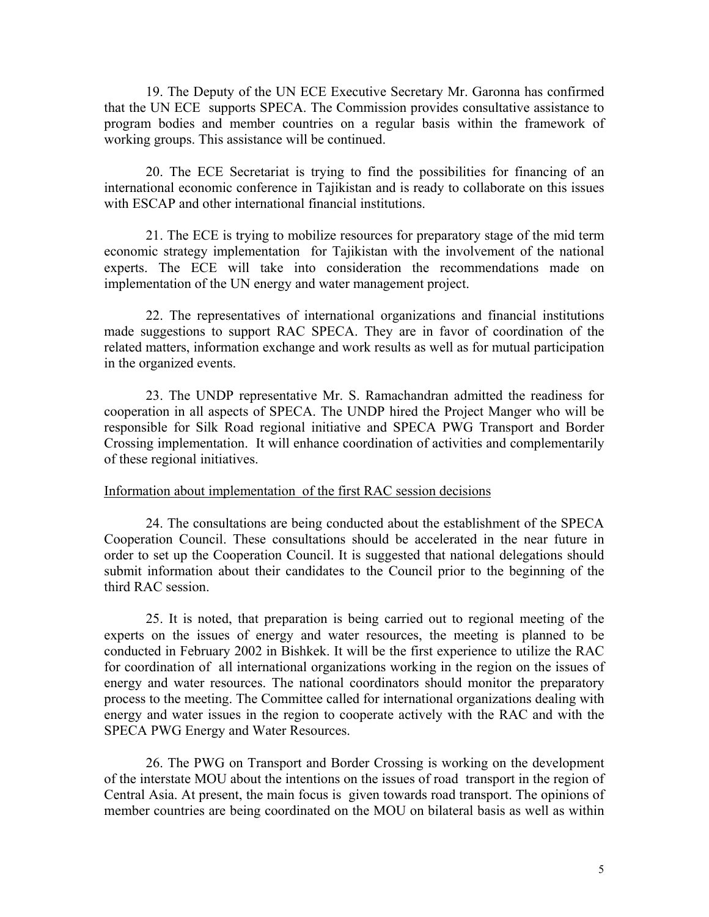19. The Deputy of the UN ECE Executive Secretary Mr. Garonna has confirmed that the UN ECE supports SPECA. The Commission provides consultative assistance to program bodies and member countries on a regular basis within the framework of working groups. This assistance will be continued.

 20. The ECE Secretariat is trying to find the possibilities for financing of an international economic conference in Tajikistan and is ready to collaborate on this issues with ESCAP and other international financial institutions.

 21. The ECE is trying to mobilize resources for preparatory stage of the mid term economic strategy implementation for Tajikistan with the involvement of the national experts. The ECE will take into consideration the recommendations made on implementation of the UN energy and water management project.

 22. The representatives of international organizations and financial institutions made suggestions to support RAC SPECA. They are in favor of coordination of the related matters, information exchange and work results as well as for mutual participation in the organized events.

 23. The UNDP representative Mr. S. Ramachandran admitted the readiness for cooperation in all aspects of SPECA. The UNDP hired the Project Manger who will be responsible for Silk Road regional initiative and SPECA PWG Transport and Border Crossing implementation. It will enhance coordination of activities and complementarily of these regional initiatives.

#### Information about implementation of the first RAC session decisions

24. The consultations are being conducted about the establishment of the SPECA Cooperation Council. These consultations should be accelerated in the near future in order to set up the Cooperation Council. It is suggested that national delegations should submit information about their candidates to the Council prior to the beginning of the third RAC session.

25. It is noted, that preparation is being carried out to regional meeting of the experts on the issues of energy and water resources, the meeting is planned to be conducted in February 2002 in Bishkek. It will be the first experience to utilize the RAC for coordination of all international organizations working in the region on the issues of energy and water resources. The national coordinators should monitor the preparatory process to the meeting. The Committee called for international organizations dealing with energy and water issues in the region to cooperate actively with the RAC and with the SPECA PWG Energy and Water Resources.

 26. The PWG on Transport and Border Crossing is working on the development of the interstate MOU about the intentions on the issues of road transport in the region of Central Asia. At present, the main focus is given towards road transport. The opinions of member countries are being coordinated on the MOU on bilateral basis as well as within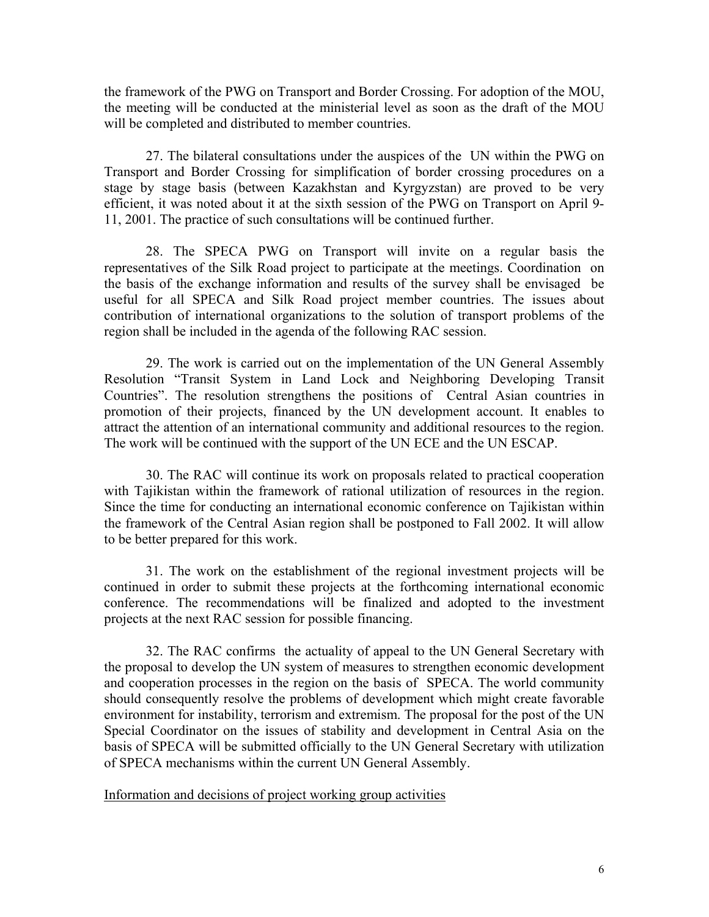the framework of the PWG on Transport and Border Crossing. For adoption of the MOU, the meeting will be conducted at the ministerial level as soon as the draft of the MOU will be completed and distributed to member countries.

 27. The bilateral consultations under the auspices of the UN within the PWG on Transport and Border Crossing for simplification of border crossing procedures on a stage by stage basis (between Kazakhstan and Kyrgyzstan) are proved to be very efficient, it was noted about it at the sixth session of the PWG on Transport on April 9- 11, 2001. The practice of such consultations will be continued further.

 28. The SPECA PWG on Transport will invite on a regular basis the representatives of the Silk Road project to participate at the meetings. Coordination on the basis of the exchange information and results of the survey shall be envisaged be useful for all SPECA and Silk Road project member countries. The issues about contribution of international organizations to the solution of transport problems of the region shall be included in the agenda of the following RAC session.

 29. The work is carried out on the implementation of the UN General Assembly Resolution "Transit System in Land Lock and Neighboring Developing Transit Countries". The resolution strengthens the positions of Central Asian countries in promotion of their projects, financed by the UN development account. It enables to attract the attention of an international community and additional resources to the region. The work will be continued with the support of the UN ECE and the UN ESCAP.

 30. The RAC will continue its work on proposals related to practical cooperation with Tajikistan within the framework of rational utilization of resources in the region. Since the time for conducting an international economic conference on Tajikistan within the framework of the Central Asian region shall be postponed to Fall 2002. It will allow to be better prepared for this work.

 31. The work on the establishment of the regional investment projects will be continued in order to submit these projects at the forthcoming international economic conference. The recommendations will be finalized and adopted to the investment projects at the next RAC session for possible financing.

 32. The RAC confirms the actuality of appeal to the UN General Secretary with the proposal to develop the UN system of measures to strengthen economic development and cooperation processes in the region on the basis of SPECA. The world community should consequently resolve the problems of development which might create favorable environment for instability, terrorism and extremism. The proposal for the post of the UN Special Coordinator on the issues of stability and development in Central Asia on the basis of SPECA will be submitted officially to the UN General Secretary with utilization of SPECA mechanisms within the current UN General Assembly.

Information and decisions of project working group activities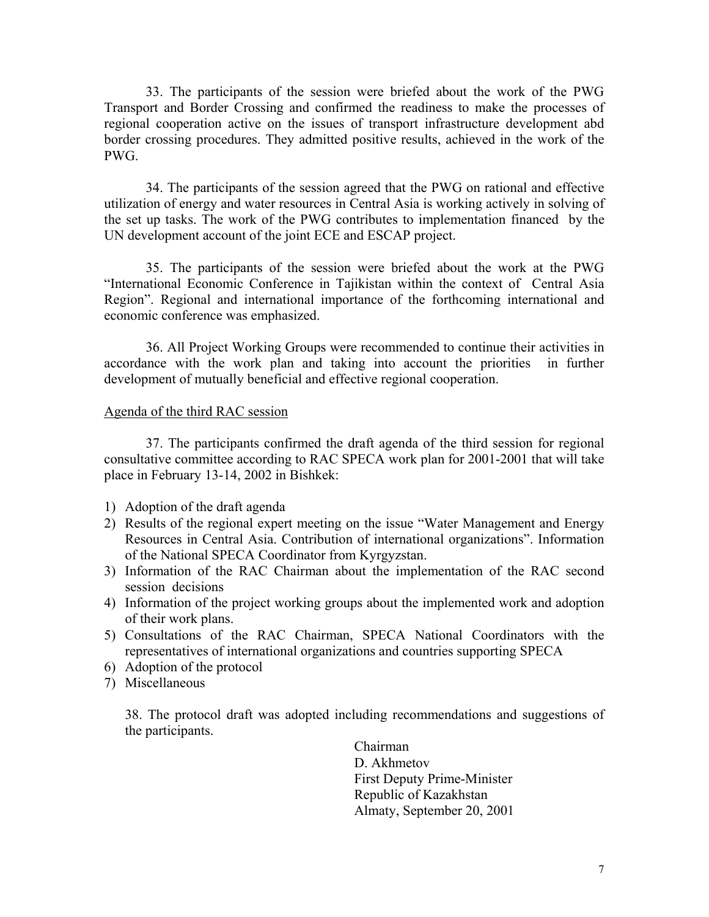33. The participants of the session were briefed about the work of the PWG Transport and Border Crossing and confirmed the readiness to make the processes of regional cooperation active on the issues of transport infrastructure development abd border crossing procedures. They admitted positive results, achieved in the work of the PWG.

 34. The participants of the session agreed that the PWG on rational and effective utilization of energy and water resources in Central Asia is working actively in solving of the set up tasks. The work of the PWG contributes to implementation financed by the UN development account of the joint ECE and ESCAP project.

 35. The participants of the session were briefed about the work at the PWG "International Economic Conference in Tajikistan within the context of Central Asia Region". Regional and international importance of the forthcoming international and economic conference was emphasized.

 36. All Project Working Groups were recommended to continue their activities in accordance with the work plan and taking into account the priorities in further development of mutually beneficial and effective regional cooperation.

#### Agenda of the third RAC session

 37. The participants confirmed the draft agenda of the third session for regional consultative committee according to RAC SPECA work plan for 2001-2001 that will take place in February 13-14, 2002 in Bishkek:

- 1) Adoption of the draft agenda
- 2) Results of the regional expert meeting on the issue "Water Management and Energy Resources in Central Asia. Contribution of international organizations". Information of the National SPECA Coordinator from Kyrgyzstan.
- 3) Information of the RAC Chairman about the implementation of the RAC second session decisions
- 4) Information of the project working groups about the implemented work and adoption of their work plans.
- 5) Consultations of the RAC Chairman, SPECA National Coordinators with the representatives of international organizations and countries supporting SPECA
- 6) Adoption of the protocol
- 7) Miscellaneous

38. The protocol draft was adopted including recommendations and suggestions of the participants.

> Chairman D. Akhmetov First Deputy Prime-Minister Republic of Kazakhstan Almaty, September 20, 2001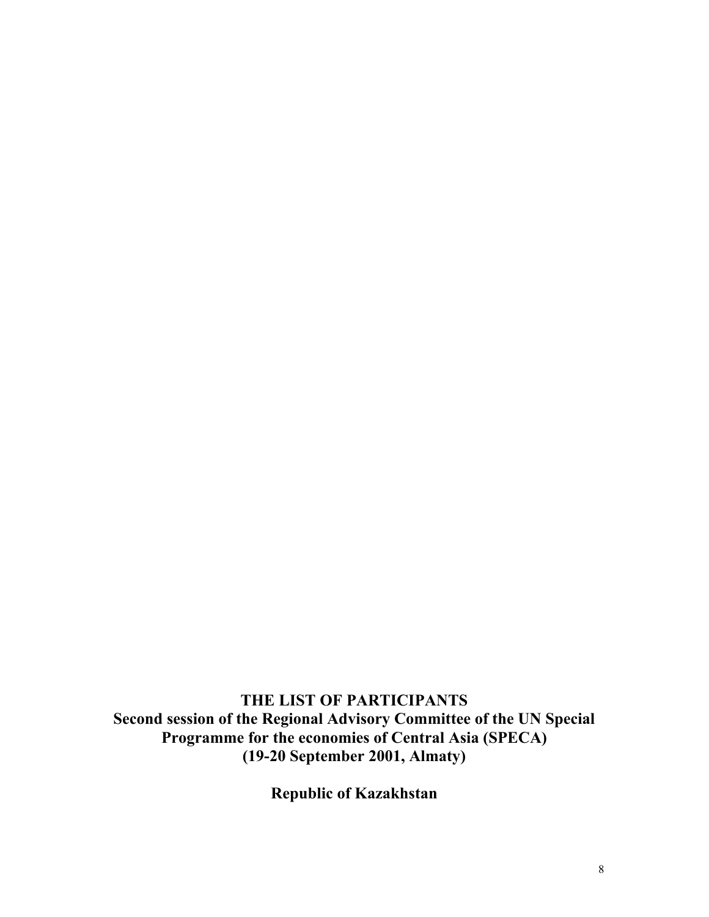**THE LIST OF PARTICIPANTS Second session of the Regional Advisory Committee of the UN Special Programme for the economies of Central Asia (SPECA) (19-20 September 2001, Almaty)** 

**Republic of Kazakhstan**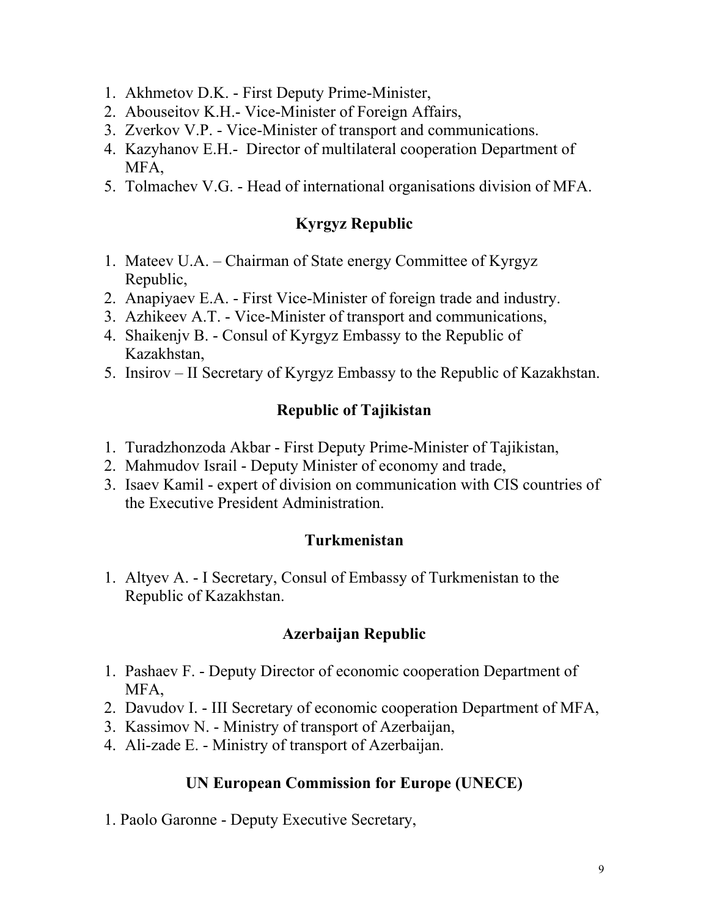- 1. Akhmetov D.K. First Deputy Prime-Minister,
- 2. Abouseitov K.H.- Vice-Minister of Foreign Affairs,
- 3. Zverkov V.P. Vice-Minister of transport and communications.
- 4. Kazyhanov E.H.- Director of multilateral cooperation Department of MFA,
- 5. Tolmachev V.G. Head of international organisations division of MFA.

# **Kyrgyz Republic**

- 1. Mateev U.A. Chairman of State energy Committee of Kyrgyz Republic,
- 2. Anapiyaev E.A. First Vice-Minister of foreign trade and industry.
- 3. Azhikeev A.T. Vice-Minister of transport and communications,
- 4. Shaikenjv B. Consul of Kyrgyz Embassy to the Republic of Kazakhstan,
- 5. Insirov II Secretary of Kyrgyz Embassy to the Republic of Kazakhstan.

# **Republic of Tajikistan**

- 1. Turadzhonzoda Akbar First Deputy Prime-Minister of Tajikistan,
- 2. Mahmudov Israil Deputy Minister of economy and trade,
- 3. Isaev Kamil expert of division on communication with CIS countries of the Executive President Administration.

## **Turkmenistan**

1. Altyev A. - I Secretary, Consul of Embassy of Turkmenistan to the Republic of Kazakhstan.

## **Azerbaijan Republic**

- 1. Pashaev F. Deputy Director of economic cooperation Department of MFA,
- 2. Davudov I. III Secretary of economic cooperation Department of MFA,
- 3. Kassimov N. Ministry of transport of Azerbaijan,
- 4. Ali-zade E. Ministry of transport of Azerbaijan.

## **UN European Commission for Europe (UNECE)**

1. Paolo Garonne - Deputy Executive Secretary,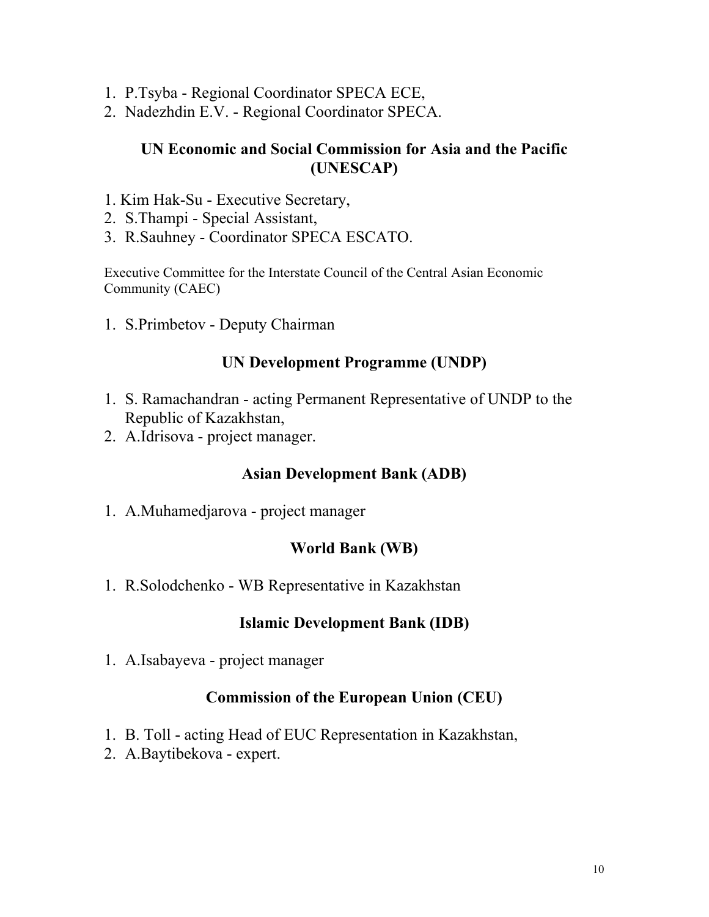- 1. P.Tsyba Regional Coordinator SPECA ECE,
- 2. Nadezhdin E.V. Regional Coordinator SPECA.

## **UN Economic and Social Commission for Asia and the Pacific (UNESCAP)**

- 1. Kim Hak-Su Executive Secretary,
- 2. S.Thampi Special Assistant,
- 3. R.Sauhney Coordinator SPECA ESCATO.

Executive Committee for the Interstate Council of the Central Asian Economic Community (CAEC)

1. S.Primbetov - Deputy Chairman

## **UN Development Programme (UNDP)**

- 1. S. Ramachandran acting Permanent Representative of UNDP to the Republic of Kazakhstan,
- 2. A.Idrisova project manager.

### **Asian Development Bank (ADB)**

1. A.Muhamedjarova - project manager

## **World Bank (WB)**

1. R.Solodchenko - WB Representative in Kazakhstan

### **Islamic Development Bank (IDB)**

1. A.Isabayeva - project manager

### **Commission of the European Union (CEU)**

- 1. B. Toll acting Head of EUC Representation in Kazakhstan,
- 2. A.Baytibekova expert.